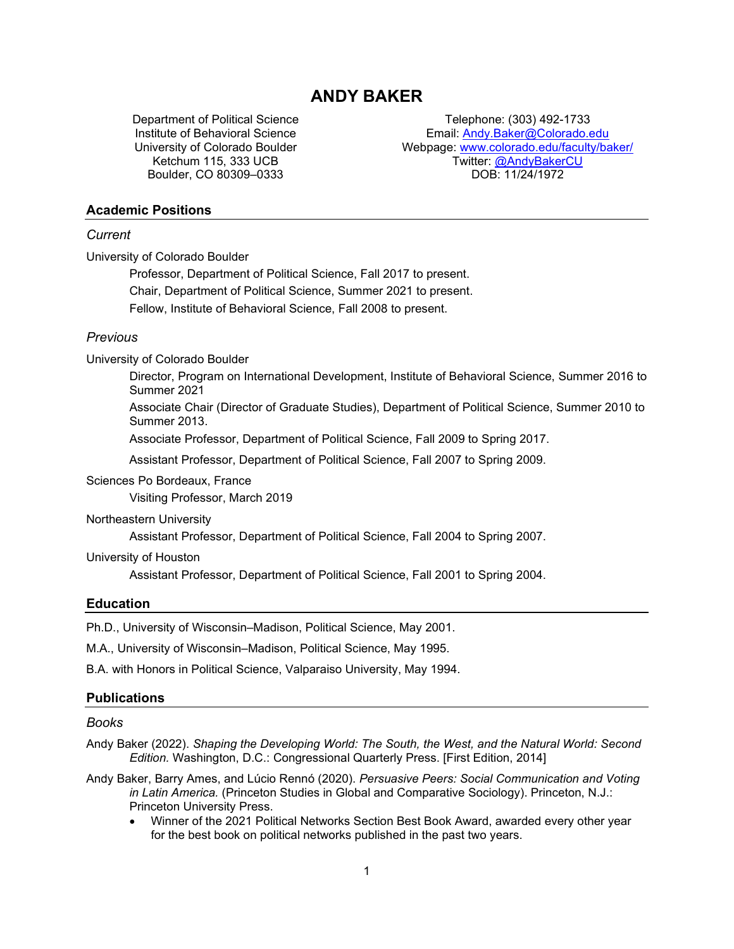# **ANDY BAKER**

Department of Political Science Institute of Behavioral Science University of Colorado Boulder Ketchum 115, 333 UCB Boulder, CO 80309–0333

Telephone: (303) 492-1733 Email: [Andy.Baker@Colorado.edu](mailto:Andy.Baker@Colorado.edu) Webpage: [www.colorado.edu/faculty/baker/](http://www.colorado.edu/faculty/baker/) Twitter: [@AndyBakerCU](https://twitter.com/AndyBakerCU?lang=en) DOB: 11/24/1972

# **Academic Positions**

# *Current*

University of Colorado Boulder

Professor, Department of Political Science, Fall 2017 to present. Chair, Department of Political Science, Summer 2021 to present. Fellow, Institute of Behavioral Science, Fall 2008 to present.

## *Previous*

University of Colorado Boulder

Director, Program on International Development, Institute of Behavioral Science, Summer 2016 to Summer 2021

Associate Chair (Director of Graduate Studies), Department of Political Science, Summer 2010 to Summer 2013.

Associate Professor, Department of Political Science, Fall 2009 to Spring 2017.

Assistant Professor, Department of Political Science, Fall 2007 to Spring 2009.

Sciences Po Bordeaux, France

Visiting Professor, March 2019

#### Northeastern University

Assistant Professor, Department of Political Science, Fall 2004 to Spring 2007.

#### University of Houston

Assistant Professor, Department of Political Science, Fall 2001 to Spring 2004.

# **Education**

Ph.D., University of Wisconsin–Madison, Political Science, May 2001.

M.A., University of Wisconsin–Madison, Political Science, May 1995.

B.A. with Honors in Political Science, Valparaiso University, May 1994.

# **Publications**

# *Books*

Andy Baker (2022). *Shaping the Developing World: The South, the West, and the Natural World: Second Edition.* Washington, D.C.: Congressional Quarterly Press. [First Edition, 2014]

- Andy Baker, Barry Ames, and Lúcio Rennó (2020). *Persuasive Peers: Social Communication and Voting in Latin America.* (Princeton Studies in Global and Comparative Sociology). Princeton, N.J.: Princeton University Press.
	- Winner of the 2021 Political Networks Section Best Book Award, awarded every other year for the best book on political networks published in the past two years.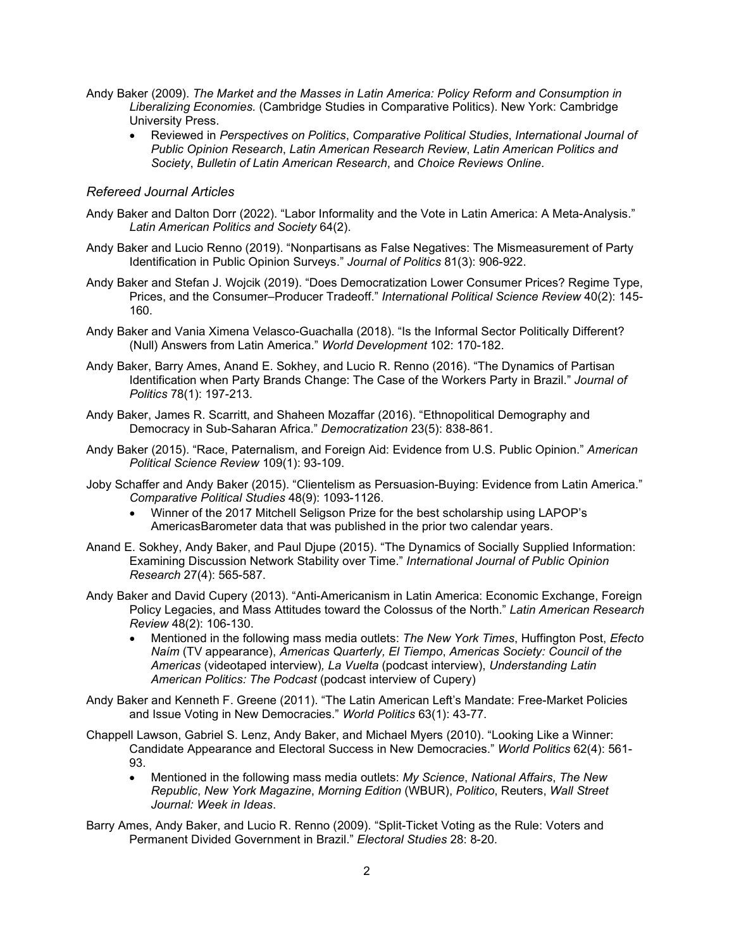- Andy Baker (2009). *The Market and the Masses in Latin America: Policy Reform and Consumption in Liberalizing Economies.* (Cambridge Studies in Comparative Politics). New York: Cambridge University Press.
	- Reviewed in *Perspectives on Politics*, *Comparative Political Studies*, *International Journal of Public Opinion Research*, *Latin American Research Review*, *Latin American Politics and Society*, *Bulletin of Latin American Research*, and *Choice Reviews Online*.

# *Refereed Journal Articles*

- Andy Baker and Dalton Dorr (2022). "Labor Informality and the Vote in Latin America: A Meta-Analysis." *Latin American Politics and Society* 64(2).
- Andy Baker and Lucio Renno (2019). "Nonpartisans as False Negatives: The Mismeasurement of Party Identification in Public Opinion Surveys." *Journal of Politics* 81(3): 906-922.
- Andy Baker and Stefan J. Wojcik (2019). "Does Democratization Lower Consumer Prices? Regime Type, Prices, and the Consumer–Producer Tradeoff." *International Political Science Review* 40(2): 145- 160.
- Andy Baker and Vania Ximena Velasco-Guachalla (2018). "Is the Informal Sector Politically Different? (Null) Answers from Latin America." *World Development* 102: 170-182.
- Andy Baker, Barry Ames, Anand E. Sokhey, and Lucio R. Renno (2016). "The Dynamics of Partisan Identification when Party Brands Change: The Case of the Workers Party in Brazil." *Journal of Politics* 78(1): 197-213.
- Andy Baker, James R. Scarritt, and Shaheen Mozaffar (2016). "Ethnopolitical Demography and Democracy in Sub-Saharan Africa." *Democratization* 23(5): 838-861.
- Andy Baker (2015). "Race, Paternalism, and Foreign Aid: Evidence from U.S. Public Opinion." *American Political Science Review* 109(1): 93-109.
- Joby Schaffer and Andy Baker (2015). "Clientelism as Persuasion-Buying: Evidence from Latin America." *Comparative Political Studies* 48(9): 1093-1126.
	- Winner of the 2017 Mitchell Seligson Prize for the best scholarship using LAPOP's AmericasBarometer data that was published in the prior two calendar years.
- Anand E. Sokhey, Andy Baker, and Paul Djupe (2015). "The Dynamics of Socially Supplied Information: Examining Discussion Network Stability over Time." *International Journal of Public Opinion Research* 27(4): 565-587.
- Andy Baker and David Cupery (2013). "Anti-Americanism in Latin America: Economic Exchange, Foreign Policy Legacies, and Mass Attitudes toward the Colossus of the North." *Latin American Research Review* 48(2): 106-130.
	- Mentioned in the following mass media outlets: *The New York Times*, Huffington Post, *Efecto Naím* (TV appearance), *Americas Quarterly, El Tiempo*, *Americas Society: Council of the Americas* (videotaped interview)*, La Vuelta* (podcast interview), *Understanding Latin American Politics: The Podcast* (podcast interview of Cupery)
- Andy Baker and Kenneth F. Greene (2011). "The Latin American Left's Mandate: Free-Market Policies and Issue Voting in New Democracies." *World Politics* 63(1): 43-77.
- Chappell Lawson, Gabriel S. Lenz, Andy Baker, and Michael Myers (2010). "Looking Like a Winner: Candidate Appearance and Electoral Success in New Democracies." *World Politics* 62(4): 561- 93.
	- Mentioned in the following mass media outlets: *My Science*, *National Affairs*, *The New Republic*, *New York Magazine*, *Morning Edition* (WBUR), *Politico*, Reuters, *Wall Street Journal: Week in Ideas*.
- Barry Ames, Andy Baker, and Lucio R. Renno (2009). "Split-Ticket Voting as the Rule: Voters and Permanent Divided Government in Brazil." *Electoral Studies* 28: 8-20.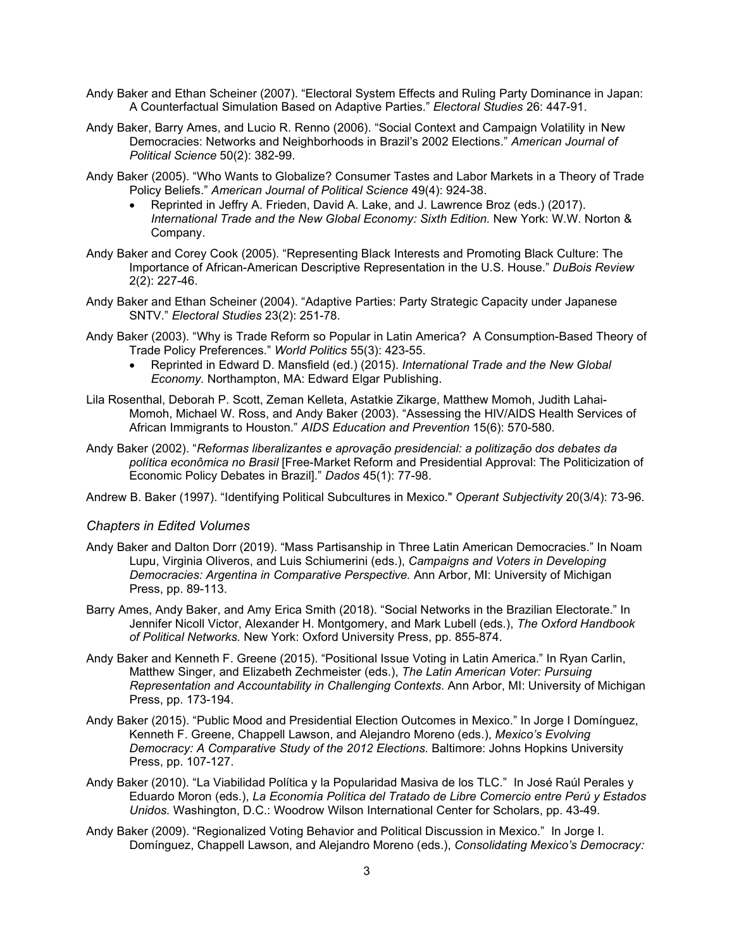- Andy Baker and Ethan Scheiner (2007). "Electoral System Effects and Ruling Party Dominance in Japan: A Counterfactual Simulation Based on Adaptive Parties." *Electoral Studies* 26: 447-91.
- Andy Baker, Barry Ames, and Lucio R. Renno (2006). "Social Context and Campaign Volatility in New Democracies: Networks and Neighborhoods in Brazil's 2002 Elections." *American Journal of Political Science* 50(2): 382-99.
- Andy Baker (2005). "Who Wants to Globalize? Consumer Tastes and Labor Markets in a Theory of Trade Policy Beliefs." *American Journal of Political Science* 49(4): 924-38.
	- Reprinted in Jeffry A. Frieden, David A. Lake, and J. Lawrence Broz (eds.) (2017). *International Trade and the New Global Economy: Sixth Edition. New York: W.W. Norton &* Company.
- Andy Baker and Corey Cook (2005). "Representing Black Interests and Promoting Black Culture: The Importance of African-American Descriptive Representation in the U.S. House." *DuBois Review* 2(2): 227-46.
- Andy Baker and Ethan Scheiner (2004). "Adaptive Parties: Party Strategic Capacity under Japanese SNTV." *Electoral Studies* 23(2): 251-78.
- Andy Baker (2003). "Why is Trade Reform so Popular in Latin America? A Consumption-Based Theory of Trade Policy Preferences." *World Politics* 55(3): 423-55.
	- Reprinted in Edward D. Mansfield (ed.) (2015). *International Trade and the New Global Economy.* Northampton, MA: Edward Elgar Publishing.
- Lila Rosenthal, Deborah P. Scott, Zeman Kelleta, Astatkie Zikarge, Matthew Momoh, Judith Lahai-Momoh, Michael W. Ross, and Andy Baker (2003). "Assessing the HIV/AIDS Health Services of African Immigrants to Houston." *AIDS Education and Prevention* 15(6): 570-580.
- Andy Baker (2002). "*Reformas liberalizantes e aprovação presidencial: a politização dos debates da política econômica no Brasil* [Free-Market Reform and Presidential Approval: The Politicization of Economic Policy Debates in Brazil]." *Dados* 45(1): 77-98.
- Andrew B. Baker (1997). "Identifying Political Subcultures in Mexico." *Operant Subjectivity* 20(3/4): 73-96.

#### *Chapters in Edited Volumes*

- Andy Baker and Dalton Dorr (2019). "Mass Partisanship in Three Latin American Democracies." In Noam Lupu, Virginia Oliveros, and Luis Schiumerini (eds.), *Campaigns and Voters in Developing Democracies: Argentina in Comparative Perspective.* Ann Arbor, MI: University of Michigan Press, pp. 89-113.
- Barry Ames, Andy Baker, and Amy Erica Smith (2018). "Social Networks in the Brazilian Electorate." In Jennifer Nicoll Victor, Alexander H. Montgomery, and Mark Lubell (eds.), *The Oxford Handbook of Political Networks.* New York: Oxford University Press, pp. 855-874.
- Andy Baker and Kenneth F. Greene (2015). "Positional Issue Voting in Latin America." In Ryan Carlin, Matthew Singer, and Elizabeth Zechmeister (eds.), *The Latin American Voter: Pursuing Representation and Accountability in Challenging Contexts.* Ann Arbor, MI: University of Michigan Press, pp. 173-194.
- Andy Baker (2015). "Public Mood and Presidential Election Outcomes in Mexico." In Jorge I Domínguez, Kenneth F. Greene, Chappell Lawson, and Alejandro Moreno (eds.), *Mexico's Evolving Democracy: A Comparative Study of the 2012 Elections.* Baltimore: Johns Hopkins University Press, pp. 107-127.
- Andy Baker (2010). "La Viabilidad Política y la Popularidad Masiva de los TLC." In José Raúl Perales y Eduardo Moron (eds.), *La Economía Política del Tratado de Libre Comercio entre Perú y Estados Unidos.* Washington, D.C.: Woodrow Wilson International Center for Scholars, pp. 43-49.
- Andy Baker (2009). "Regionalized Voting Behavior and Political Discussion in Mexico." In Jorge I. Domínguez, Chappell Lawson, and Alejandro Moreno (eds.), *Consolidating Mexico's Democracy:*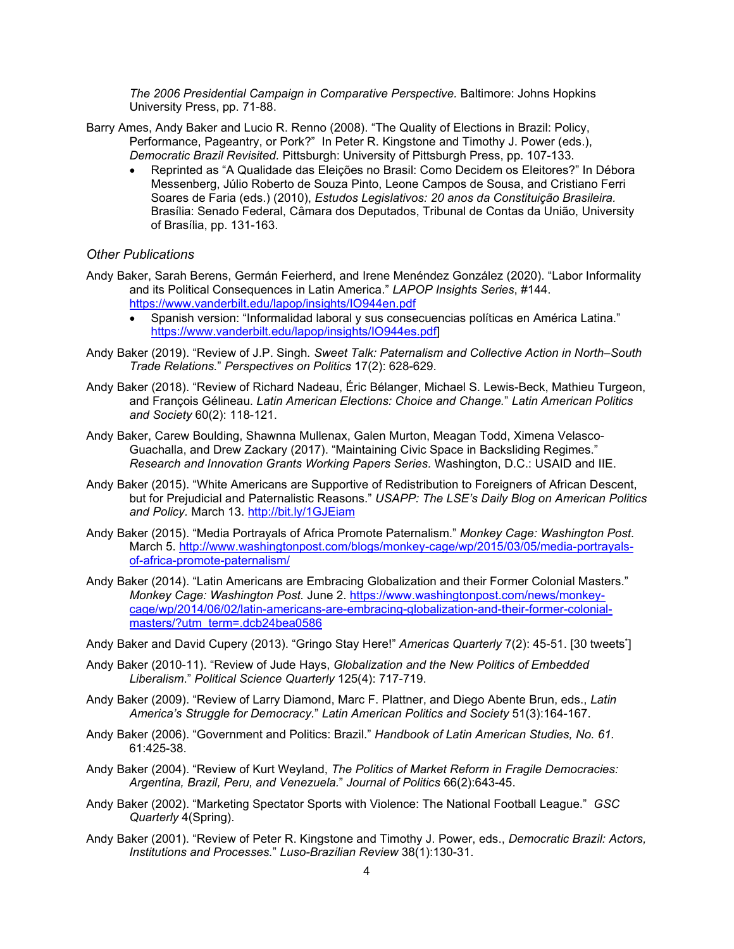*The 2006 Presidential Campaign in Comparative Perspective.* Baltimore: Johns Hopkins University Press, pp. 71-88.

- Barry Ames, Andy Baker and Lucio R. Renno (2008). "The Quality of Elections in Brazil: Policy, Performance, Pageantry, or Pork?" In Peter R. Kingstone and Timothy J. Power (eds.), *Democratic Brazil Revisited.* Pittsburgh: University of Pittsburgh Press, pp. 107-133.
	- Reprinted as "A Qualidade das Eleições no Brasil: Como Decidem os Eleitores?" In Débora Messenberg, Júlio Roberto de Souza Pinto, Leone Campos de Sousa, and Cristiano Ferri Soares de Faria (eds.) (2010), *Estudos Legislativos: 20 anos da Constituição Brasileira.* Brasília: Senado Federal, Câmara dos Deputados, Tribunal de Contas da União, University of Brasília, pp. 131-163.

## *Other Publications*

Andy Baker, Sarah Berens, Germán Feierherd, and Irene Menéndez González (2020). "Labor Informality and its Political Consequences in Latin America." *LAPOP Insights Series*, #144. <https://www.vanderbilt.edu/lapop/insights/IO944en.pdf>

- Spanish version: "Informalidad laboral y sus consecuencias políticas en América Latina." [https://www.vanderbilt.edu/lapop/insights/IO944es.pdf\]](https://www.vanderbilt.edu/lapop/insights/IO944es.pdf)
- Andy Baker (2019). "Review of J.P. Singh*. Sweet Talk: Paternalism and Collective Action in North–South Trade Relations.*" *Perspectives on Politics* 17(2): 628-629.
- Andy Baker (2018). "Review of Richard Nadeau, Éric Bélanger, Michael S. Lewis-Beck, Mathieu Turgeon, and François Gélineau. *Latin American Elections: Choice and Change.*" *Latin American Politics and Society* 60(2): 118-121.
- Andy Baker, Carew Boulding, Shawnna Mullenax, Galen Murton, Meagan Todd, Ximena Velasco-Guachalla, and Drew Zackary (2017). "Maintaining Civic Space in Backsliding Regimes." *Research and Innovation Grants Working Papers Series.* Washington, D.C.: USAID and IIE.
- Andy Baker (2015). "White Americans are Supportive of Redistribution to Foreigners of African Descent, but for Prejudicial and Paternalistic Reasons." *USAPP: The LSE's Daily Blog on American Politics and Policy.* March 13.<http://bit.ly/1GJEiam>
- Andy Baker (2015). "Media Portrayals of Africa Promote Paternalism." *Monkey Cage: Washington Post.* March 5. [http://www.washingtonpost.com/blogs/monkey-cage/wp/2015/03/05/media-portrayals](http://www.washingtonpost.com/blogs/monkey-cage/wp/2015/03/05/media-portrayals-of-africa-promote-paternalism/)[of-africa-promote-paternalism/](http://www.washingtonpost.com/blogs/monkey-cage/wp/2015/03/05/media-portrayals-of-africa-promote-paternalism/)
- Andy Baker (2014). "Latin Americans are Embracing Globalization and their Former Colonial Masters." *Monkey Cage: Washington Post.* June 2. [https://www.washingtonpost.com/news/monkey](https://www.washingtonpost.com/news/monkey-cage/wp/2014/06/02/latin-americans-are-embracing-globalization-and-their-former-colonial-masters/?utm_term=.dcb24bea0586)[cage/wp/2014/06/02/latin-americans-are-embracing-globalization-and-their-former-colonial](https://www.washingtonpost.com/news/monkey-cage/wp/2014/06/02/latin-americans-are-embracing-globalization-and-their-former-colonial-masters/?utm_term=.dcb24bea0586)[masters/?utm\\_term=.dcb24bea0586](https://www.washingtonpost.com/news/monkey-cage/wp/2014/06/02/latin-americans-are-embracing-globalization-and-their-former-colonial-masters/?utm_term=.dcb24bea0586)
- Andy Baker and David Cupery (2013). "Gringo Stay Here!" *Americas Quarterly* 7(2): 45-51. [30 tweets<sup>∗</sup>]
- Andy Baker (2010-11). "Review of Jude Hays, *Globalization and the New Politics of Embedded Liberalism*." *Political Science Quarterly* 125(4): 717-719.
- Andy Baker (2009). "Review of Larry Diamond, Marc F. Plattner, and Diego Abente Brun, eds., *Latin America's Struggle for Democracy.*" *Latin American Politics and Society* 51(3):164-167.
- Andy Baker (2006). "Government and Politics: Brazil." *Handbook of Latin American Studies, No. 61.*  61:425-38.
- Andy Baker (2004). "Review of Kurt Weyland, *The Politics of Market Reform in Fragile Democracies: Argentina, Brazil, Peru, and Venezuela.*" *Journal of Politics* 66(2):643-45.
- Andy Baker (2002). "Marketing Spectator Sports with Violence: The National Football League." *GSC Quarterly* 4(Spring).
- Andy Baker (2001). "Review of Peter R. Kingstone and Timothy J. Power, eds., *Democratic Brazil: Actors, Institutions and Processes.*" *Luso-Brazilian Review* 38(1):130-31.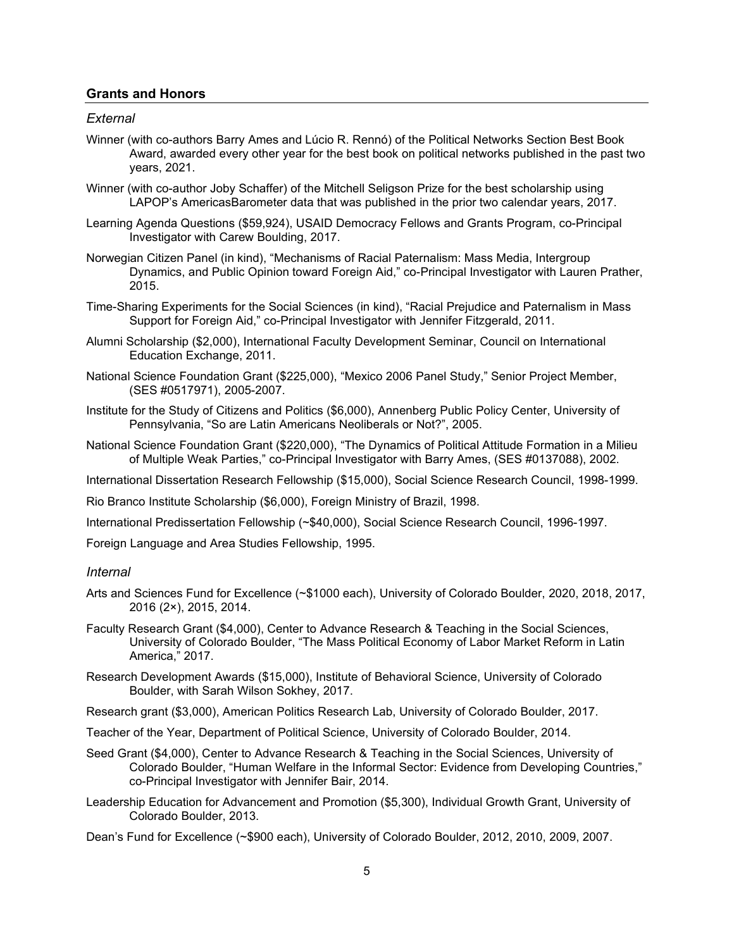# **Grants and Honors**

## *External*

- Winner (with co-authors Barry Ames and Lúcio R. Rennó) of the Political Networks Section Best Book Award, awarded every other year for the best book on political networks published in the past two years, 2021.
- Winner (with co-author Joby Schaffer) of the Mitchell Seligson Prize for the best scholarship using LAPOP's AmericasBarometer data that was published in the prior two calendar years, 2017.
- Learning Agenda Questions (\$59,924), USAID Democracy Fellows and Grants Program, co-Principal Investigator with Carew Boulding, 2017.
- Norwegian Citizen Panel (in kind), "Mechanisms of Racial Paternalism: Mass Media, Intergroup Dynamics, and Public Opinion toward Foreign Aid," co-Principal Investigator with Lauren Prather, 2015.
- Time-Sharing Experiments for the Social Sciences (in kind), "Racial Prejudice and Paternalism in Mass Support for Foreign Aid," co-Principal Investigator with Jennifer Fitzgerald, 2011.
- Alumni Scholarship (\$2,000), International Faculty Development Seminar, Council on International Education Exchange, 2011.
- National Science Foundation Grant (\$225,000), "Mexico 2006 Panel Study," Senior Project Member, (SES #0517971), 2005-2007.
- Institute for the Study of Citizens and Politics (\$6,000), Annenberg Public Policy Center, University of Pennsylvania, "So are Latin Americans Neoliberals or Not?", 2005.
- National Science Foundation Grant (\$220,000), "The Dynamics of Political Attitude Formation in a Milieu of Multiple Weak Parties," co-Principal Investigator with Barry Ames, (SES #0137088), 2002.

International Dissertation Research Fellowship (\$15,000), Social Science Research Council, 1998-1999.

Rio Branco Institute Scholarship (\$6,000), Foreign Ministry of Brazil, 1998.

International Predissertation Fellowship (~\$40,000), Social Science Research Council, 1996-1997.

Foreign Language and Area Studies Fellowship, 1995.

#### *Internal*

- Arts and Sciences Fund for Excellence (~\$1000 each), University of Colorado Boulder, 2020, 2018, 2017, 2016 (2×), 2015, 2014.
- Faculty Research Grant (\$4,000), Center to Advance Research & Teaching in the Social Sciences, University of Colorado Boulder, "The Mass Political Economy of Labor Market Reform in Latin America," 2017.
- Research Development Awards (\$15,000), Institute of Behavioral Science, University of Colorado Boulder, with Sarah Wilson Sokhey, 2017.

Research grant (\$3,000), American Politics Research Lab, University of Colorado Boulder, 2017.

Teacher of the Year, Department of Political Science, University of Colorado Boulder, 2014.

- Seed Grant (\$4,000), Center to Advance Research & Teaching in the Social Sciences, University of Colorado Boulder, "Human Welfare in the Informal Sector: Evidence from Developing Countries," co-Principal Investigator with Jennifer Bair, 2014.
- Leadership Education for Advancement and Promotion (\$5,300), Individual Growth Grant, University of Colorado Boulder, 2013.

Dean's Fund for Excellence (~\$900 each), University of Colorado Boulder, 2012, 2010, 2009, 2007.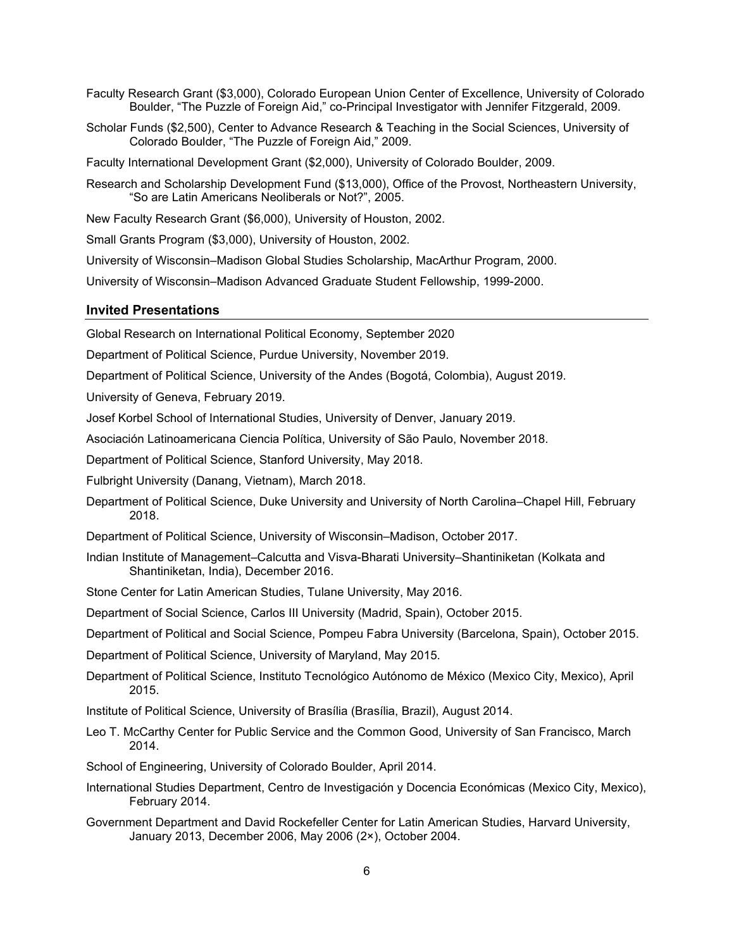Faculty Research Grant (\$3,000), Colorado European Union Center of Excellence, University of Colorado Boulder, "The Puzzle of Foreign Aid," co-Principal Investigator with Jennifer Fitzgerald, 2009.

Scholar Funds (\$2,500), Center to Advance Research & Teaching in the Social Sciences, University of Colorado Boulder, "The Puzzle of Foreign Aid," 2009.

Faculty International Development Grant (\$2,000), University of Colorado Boulder, 2009.

- Research and Scholarship Development Fund (\$13,000), Office of the Provost, Northeastern University, "So are Latin Americans Neoliberals or Not?", 2005.
- New Faculty Research Grant (\$6,000), University of Houston, 2002.

Small Grants Program (\$3,000), University of Houston, 2002.

University of Wisconsin–Madison Global Studies Scholarship, MacArthur Program, 2000.

University of Wisconsin–Madison Advanced Graduate Student Fellowship, 1999-2000.

## **Invited Presentations**

Global Research on International Political Economy, September 2020

Department of Political Science, Purdue University, November 2019.

Department of Political Science, University of the Andes (Bogotá, Colombia), August 2019.

University of Geneva, February 2019.

Josef Korbel School of International Studies, University of Denver, January 2019.

Asociación Latinoamericana Ciencia Política, University of São Paulo, November 2018.

Department of Political Science, Stanford University, May 2018.

Fulbright University (Danang, Vietnam), March 2018.

Department of Political Science, Duke University and University of North Carolina–Chapel Hill, February 2018.

Department of Political Science, University of Wisconsin–Madison, October 2017.

- Indian Institute of Management–Calcutta and Visva-Bharati University–Shantiniketan (Kolkata and Shantiniketan, India), December 2016.
- Stone Center for Latin American Studies, Tulane University, May 2016.

Department of Social Science, Carlos III University (Madrid, Spain), October 2015.

Department of Political and Social Science, Pompeu Fabra University (Barcelona, Spain), October 2015.

Department of Political Science, University of Maryland, May 2015.

- Department of Political Science, Instituto Tecnológico Autónomo de México (Mexico City, Mexico), April 2015.
- Institute of Political Science, University of Brasília (Brasília, Brazil), August 2014.
- Leo T. McCarthy Center for Public Service and the Common Good, University of San Francisco, March 2014.
- School of Engineering, University of Colorado Boulder, April 2014.
- International Studies Department, Centro de Investigación y Docencia Económicas (Mexico City, Mexico), February 2014.

Government Department and David Rockefeller Center for Latin American Studies, Harvard University, January 2013, December 2006, May 2006 (2×), October 2004.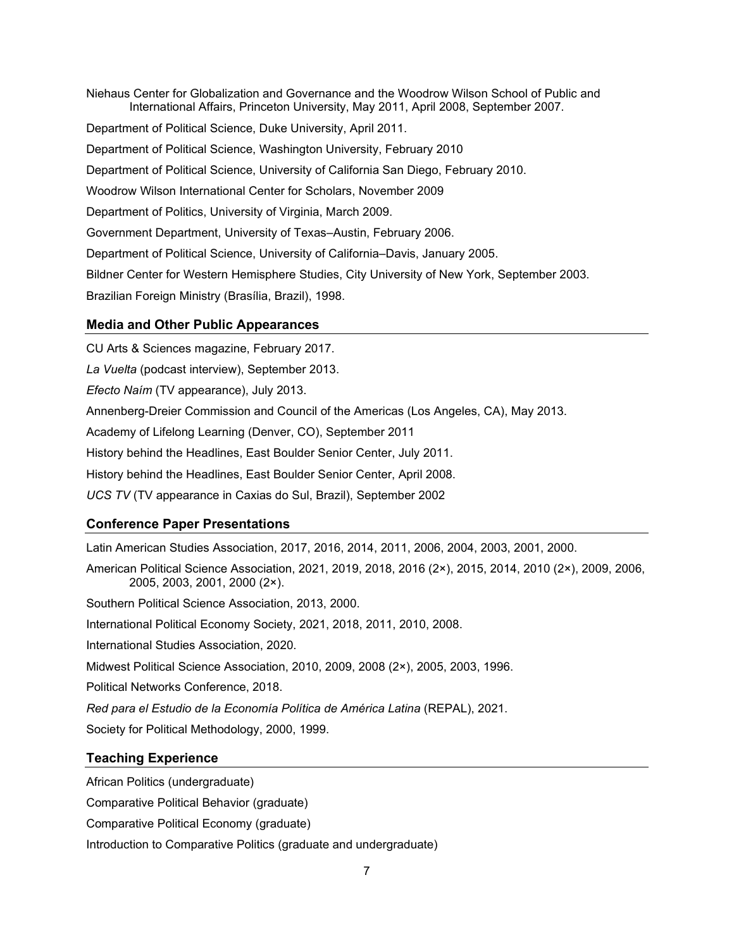Niehaus Center for Globalization and Governance and the Woodrow Wilson School of Public and International Affairs, Princeton University, May 2011, April 2008, September 2007. Department of Political Science, Duke University, April 2011. Department of Political Science, Washington University, February 2010 Department of Political Science, University of California San Diego, February 2010. Woodrow Wilson International Center for Scholars, November 2009 Department of Politics, University of Virginia, March 2009. Government Department, University of Texas–Austin, February 2006. Department of Political Science, University of California–Davis, January 2005. Bildner Center for Western Hemisphere Studies, City University of New York, September 2003. Brazilian Foreign Ministry (Brasília, Brazil), 1998.

# **Media and Other Public Appearances**

CU Arts & Sciences magazine, February 2017.

*La Vuelta* (podcast interview), September 2013.

*Efecto Naím* (TV appearance), July 2013.

Annenberg-Dreier Commission and Council of the Americas (Los Angeles, CA), May 2013.

Academy of Lifelong Learning (Denver, CO), September 2011

History behind the Headlines, East Boulder Senior Center, July 2011.

History behind the Headlines, East Boulder Senior Center, April 2008.

*UCS TV* (TV appearance in Caxias do Sul, Brazil), September 2002

# **Conference Paper Presentations**

Latin American Studies Association, 2017, 2016, 2014, 2011, 2006, 2004, 2003, 2001, 2000.

American Political Science Association, 2021, 2019, 2018, 2016 (2×), 2015, 2014, 2010 (2×), 2009, 2006, 2005, 2003, 2001, 2000 (2×).

Southern Political Science Association, 2013, 2000.

International Political Economy Society, 2021, 2018, 2011, 2010, 2008.

International Studies Association, 2020.

Midwest Political Science Association, 2010, 2009, 2008 (2×), 2005, 2003, 1996.

Political Networks Conference, 2018.

*Red para el Estudio de la Economía Política de América Latina* (REPAL), 2021.

Society for Political Methodology, 2000, 1999.

# **Teaching Experience**

African Politics (undergraduate)

Comparative Political Behavior (graduate)

Comparative Political Economy (graduate)

Introduction to Comparative Politics (graduate and undergraduate)